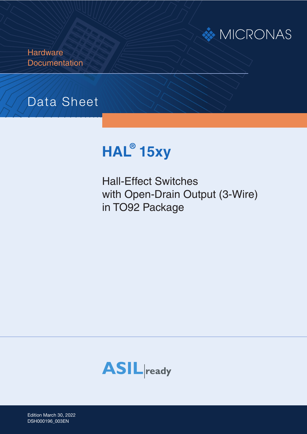

**Hardware Documentation** 

# Data Sheet



Hall-Effect Switches with Open-Drain Output (3-Wire) in TO92 Package



Edition March 30, 2022 AI000198\_002EN PD000184\_001E DSH000196\_003EN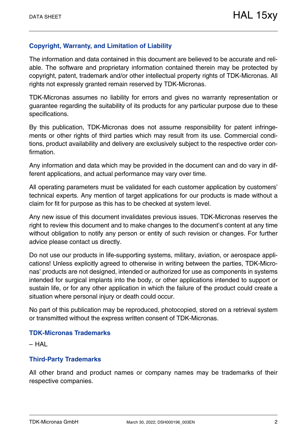### **Copyright, Warranty, and Limitation of Liability**

The information and data contained in this document are believed to be accurate and reliable. The software and proprietary information contained therein may be protected by copyright, patent, trademark and/or other intellectual property rights of TDK-Micronas. All rights not expressly granted remain reserved by TDK-Micronas.

TDK-Micronas assumes no liability for errors and gives no warranty representation or guarantee regarding the suitability of its products for any particular purpose due to these specifications.

By this publication, TDK-Micronas does not assume responsibility for patent infringements or other rights of third parties which may result from its use. Commercial conditions, product availability and delivery are exclusively subject to the respective order confirmation.

Any information and data which may be provided in the document can and do vary in different applications, and actual performance may vary over time.

All operating parameters must be validated for each customer application by customers' technical experts. Any mention of target applications for our products is made without a claim for fit for purpose as this has to be checked at system level.

Any new issue of this document invalidates previous issues. TDK-Micronas reserves the right to review this document and to make changes to the document's content at any time without obligation to notify any person or entity of such revision or changes. For further advice please contact us directly.

Do not use our products in life-supporting systems, military, aviation, or aerospace applications! Unless explicitly agreed to otherwise in writing between the parties, TDK-Micronas' products are not designed, intended or authorized for use as components in systems intended for surgical implants into the body, or other applications intended to support or sustain life, or for any other application in which the failure of the product could create a situation where personal injury or death could occur.

No part of this publication may be reproduced, photocopied, stored on a retrieval system or transmitted without the express written consent of TDK-Micronas.

#### **TDK-Micronas Trademarks**

– HAL

#### **Third-Party Trademarks**

All other brand and product names or company names may be trademarks of their respective companies.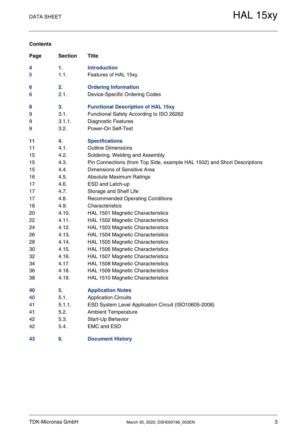#### **Contents**

| Page | <b>Section</b> | <b>Title</b>                                                             |
|------|----------------|--------------------------------------------------------------------------|
| 4    | 1.             | <b>Introduction</b>                                                      |
| 5    | 1.1.           | Features of HAL 15xy                                                     |
| 6    | 2.             | <b>Ordering Information</b>                                              |
| 6    | 2.1.           | Device-Specific Ordering Codes                                           |
| 8    | 3.             | <b>Functional Description of HAL 15xy</b>                                |
| 9    | 3.1.           | Functional Safety According to ISO 26262                                 |
| 9    | 3.1.1.         | <b>Diagnostic Features</b>                                               |
| 9    | 3.2.           | Power-On Self-Test                                                       |
| 11   | 4.             | <b>Specifications</b>                                                    |
| 11   | 4.1.           | <b>Outline Dimensions</b>                                                |
| 15   | 4.2.           | Soldering, Welding and Assembly                                          |
| 15   | 4.3.           | Pin Connections (from Top Side, example HAL 1502) and Short Descriptions |
| 15   | 4.4.           | Dimensions of Sensitive Area                                             |
| 16   | 4.5.           | <b>Absolute Maximum Ratings</b>                                          |
| 17   | 4.6.           | ESD and Latch-up                                                         |
| 17   | 4.7.           | Storage and Shelf Life                                                   |
| 17   | 4.8.           | <b>Recommended Operating Conditions</b>                                  |
| 18   | 4.9.           | Characteristics                                                          |
| 20   | 4.10.          | HAL 1501 Magnetic Characteristics                                        |
| 22   | 4.11.          | HAL 1502 Magnetic Characteristics                                        |
| 24   | 4.12.          | HAL 1503 Magnetic Characteristics                                        |
| 26   | 4.13.          | HAL 1504 Magnetic Characteristics                                        |
| 28   | 4.14.          | HAL 1505 Magnetic Characteristics                                        |
| 30   | 4.15.          | HAL 1506 Magnetic Characteristics                                        |
| 32   | 4.16.          | HAL 1507 Magnetic Characteristics                                        |
| 34   | 4.17.          | HAL 1508 Magnetic Characteristics                                        |
| 36   | 4.18.          | HAL 1509 Magnetic Characteristics                                        |
| 38   | 4.19.          | HAL 1510 Magnetic Characteristics                                        |
| 40   | 5.             | <b>Application Notes</b>                                                 |
| 40   | 5.1.           | <b>Application Circuits</b>                                              |
| 41   | 5.1.1.         | ESD System Level Application Circuit (ISO10605-2008)                     |
| 41   | 5.2.           | <b>Ambient Temperature</b>                                               |
| 42   | 5.3.           | Start-Up Behavior                                                        |
| 42   | 5.4.           | <b>EMC and ESD</b>                                                       |
| 43   | 6.             | <b>Document History</b>                                                  |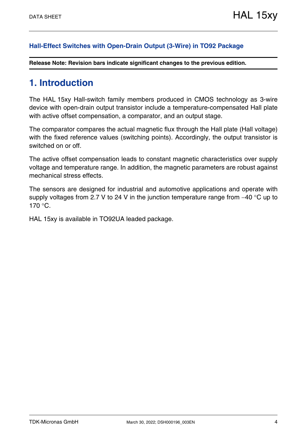### **[Hall-Effect Switches with Open-Drain Output \(3-Wire\) in TO92 Package](#page--1-0)**

**Release Note: Revision bars indicate significant changes to the previous edition.**

# <span id="page-3-0"></span>**1. Introduction**

The HAL 15xy Hall-switch family members produced in CMOS technology as 3-wire device with open-drain output transistor include a temperature-compensated Hall plate with active offset compensation, a comparator, and an output stage.

The comparator compares the actual magnetic flux through the Hall plate (Hall voltage) with the fixed reference values (switching points). Accordingly, the output transistor is switched on or off.

The active offset compensation leads to constant magnetic characteristics over supply voltage and temperature range. In addition, the magnetic parameters are robust against mechanical stress effects.

The sensors are designed for industrial and automotive applications and operate with supply voltages from 2.7 V to 24 V in the junction temperature range from  $-40$  °C up to  $170 °C$ .

HAL 15xy is available in TO92UA leaded package.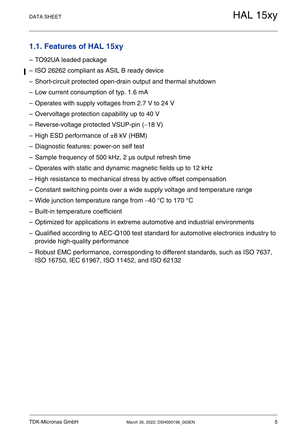# <span id="page-4-0"></span>**1.1. Features of HAL 15xy**

- TO92UA leaded package
- ISO 26262 compliant as ASIL B ready device
	- Short-circuit protected open-drain output and thermal shutdown
	- Low current consumption of typ. 1.6 mA
	- Operates with supply voltages from 2.7 V to 24 V
	- Overvoltage protection capability up to 40 V
	- $-$  Reverse-voltage protected VSUP-pin  $(-18 V)$
	- $-$  High ESD performance of  $\pm 8$  kV (HBM)
	- Diagnostic features: power-on self test
	- Sample frequency of 500 kHz, 2 µs output refresh time
	- Operates with static and dynamic magnetic fields up to 12 kHz
	- High resistance to mechanical stress by active offset compensation
	- Constant switching points over a wide supply voltage and temperature range
	- Wide junction temperature range from  $-40$  °C to 170 °C
	- Built-in temperature coefficient
	- Optimized for applications in extreme automotive and industrial environments
	- Qualified according to AEC-Q100 test standard for automotive electronics industry to provide high-quality performance
	- Robust EMC performance, corresponding to different standards, such as ISO 7637, ISO 16750, IEC 61967, ISO 11452, and ISO 62132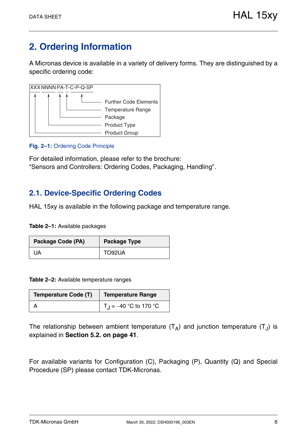# <span id="page-5-0"></span>**2. Ordering Information**

A Micronas device is available in a variety of delivery forms. They are distinguished by a specific ordering code:



#### **Fig. 2–1:** Ordering Code Principle

For detailed information, please refer to the brochure: "Sensors and Controllers: Ordering Codes, Packaging, Handling".

# <span id="page-5-1"></span>**2.1. Device-Specific Ordering Codes**

HAL 15xy is available in the following package and temperature range.

**Table 2–1:** Available packages

| Package Code (PA) | <b>Package Type</b> |
|-------------------|---------------------|
| UA                | TO92UA              |

**Table 2–2:** Available temperature ranges

| <b>Temperature Code (T)</b> | Temperature Range              |
|-----------------------------|--------------------------------|
|                             | $\vert T_1 = -40$ °C to 170 °C |

The relationship between ambient temperature  $(T_A)$  and junction temperature  $(T_A)$  is explained in **[Section 5.2. on page 41](#page-40-2)**.

For available variants for Configuration (C), Packaging (P), Quantity (Q) and Special Procedure (SP) please contact TDK-Micronas.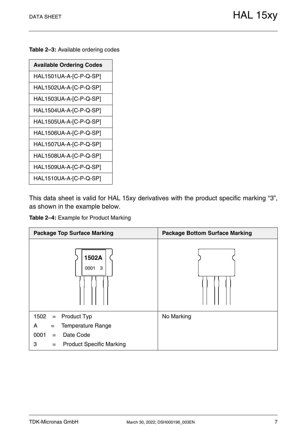**Table 2–3:** Available ordering codes

This data sheet is valid for HAL 15xy derivatives with the product specific marking "3", as shown in the example below.



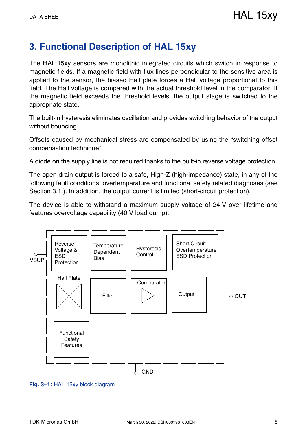# <span id="page-7-0"></span>**3. Functional Description of HAL 15xy**

The HAL 15xy sensors are monolithic integrated circuits which switch in response to magnetic fields. If a magnetic field with flux lines perpendicular to the sensitive area is applied to the sensor, the biased Hall plate forces a Hall voltage proportional to this field. The Hall voltage is compared with the actual threshold level in the comparator. If the magnetic field exceeds the threshold levels, the output stage is switched to the appropriate state.

The built-in hysteresis eliminates oscillation and provides switching behavior of the output without bouncing.

Offsets caused by mechanical stress are compensated by using the "switching offset compensation technique".

A diode on the supply line is not required thanks to the built-in reverse voltage protection.

The open drain output is forced to a safe, High-Z (high-impedance) state, in any of the following fault conditions: overtemperature and functional safety related diagnoses [\(see](#page-8-0) [Section 3.1.\).](#page-8-0) In addition, the output current is limited (short-circuit protection).

The device is able to withstand a maximum supply voltage of 24 V over lifetime and features overvoltage capability (40 V load dump).



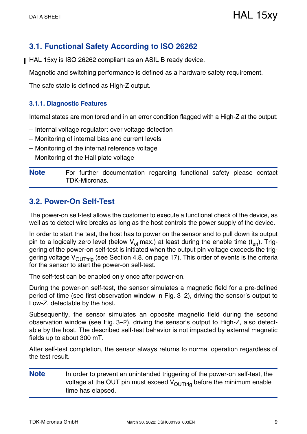# <span id="page-8-0"></span>**3.1. Functional Safety According to ISO 26262**

HAL 15xy is ISO 26262 compliant as an ASIL B ready device.

Magnetic and switching performance is defined as a hardware safety requirement.

The safe state is defined as High-Z output.

#### <span id="page-8-1"></span>**3.1.1. Diagnostic Features**

Internal states are monitored and in an error condition flagged with a High-Z at the output:

- Internal voltage regulator: over voltage detection
- Monitoring of internal bias and current levels
- Monitoring of the internal reference voltage
- Monitoring of the Hall plate voltage

**Note** For further documentation regarding functional safety please contact TDK-Micronas.

## <span id="page-8-3"></span><span id="page-8-2"></span>**3.2. Power-On Self-Test**

The power-on self-test allows the customer to execute a functional check of the device, as well as to detect wire breaks as long as the host controls the power supply of the device.

In order to start the test, the host has to power on the sensor and to pull down its output pin to a logically zero level (below  $V_{ol}$  max.) at least during the enable time (t<sub>en</sub>). Triggering of the power-on self-test is initiated when the output pin voltage exceeds the triggering voltage  $V_{\text{OUTtri}}$  (see [Section 4.8. on page 17](#page-16-3)). This order of events is the criteria for the sensor to start the power-on self-test.

The self-test can be enabled only once after power-on.

During the power-on self-test, the sensor simulates a magnetic field for a pre-defined period of time (see first observation window in [Fig. 3–2](#page-9-0)), driving the sensor's output to Low-Z, detectable by the host.

Subsequently, the sensor simulates an opposite magnetic field during the second observation window (see [Fig. 3–2](#page-9-0)), driving the sensor's output to High-Z, also detectable by the host. The described self-test behavior is not impacted by external magnetic fields up to about 300 mT.

After self-test completion, the sensor always returns to normal operation regardless of the test result.

**Note** In order to prevent an unintended triggering of the power-on self-test, the voltage at the OUT pin must exceed  $V_{\text{OUTtri}}$  before the minimum enable time has elapsed.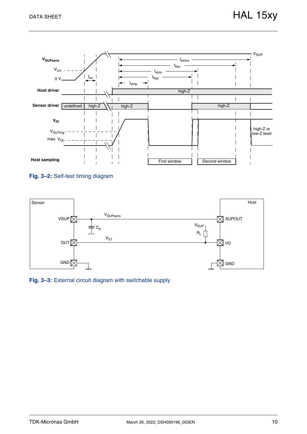

#### <span id="page-9-0"></span>**Fig. 3–2:** Self-test timing diagram



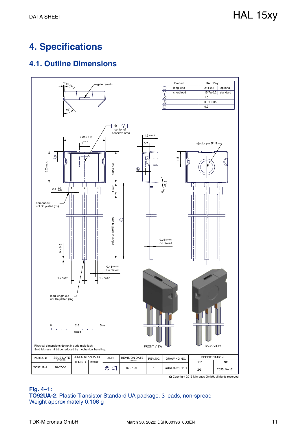# <span id="page-10-0"></span>**4. Specifications**

# <span id="page-10-1"></span>**4.1. Outline Dimensions**



#### **Fig. 4–1: TO92UA-2**: Plastic Transistor Standard UA package, 3 leads, non-spread Weight approximately 0.106 g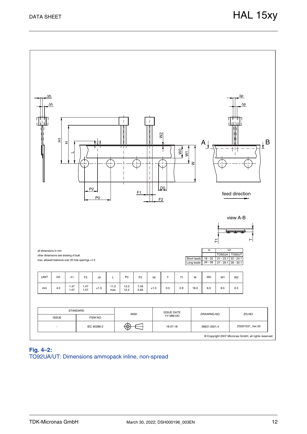

#### **Fig. 4–2:** TO92UA/UT: Dimensions ammopack inline, non-spread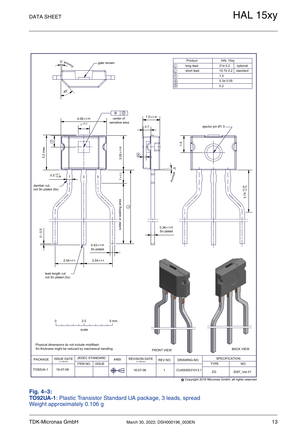

#### **Fig. 4–3: TO92UA-1**: Plastic Transistor Standard UA package, 3 leads, spread Weight approximately 0.106 g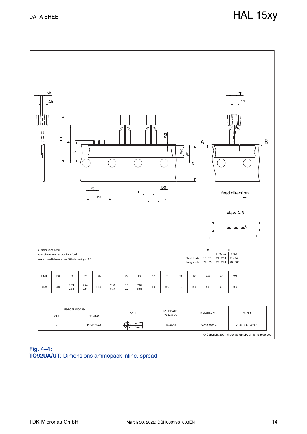

#### **Fig. 4–4: TO92UA/UT**: Dimensions ammopack inline, spread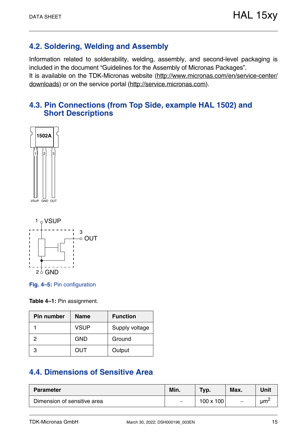# <span id="page-14-0"></span>**4.2. Soldering, Welding and Assembly**

Information related to solderability, welding, assembly, and second-level packaging is included in the document "Guidelines for the Assembly of Micronas Packages". It is available on the TDK-Micronas website [\(http://www.micronas.com/en/service-center/](http://www.micronas.com/en/service-center/downloads) [downloads](http://www.micronas.com/en/service-center/downloads)) or on the service portal [\(http://service.micronas.com\)](http://service.micronas.com).

# <span id="page-14-1"></span>**4.3. Pin Connections (from Top Side, example HAL 1502) and Short Descriptions**







**Table 4–1:** Pin assignment.

| <b>Pin number</b> | <b>Name</b> | <b>Function</b> |
|-------------------|-------------|-----------------|
|                   | <b>VSUP</b> | Supply voltage  |
| 2                 | <b>GND</b>  | Ground          |
| 3                 | <b>OUT</b>  | Output          |

# <span id="page-14-2"></span>**4.4. Dimensions of Sensitive Area**

| <b>Parameter</b>            | Min. | Typ.             | Max. | Unit                 |
|-----------------------------|------|------------------|------|----------------------|
| Dimension of sensitive area |      | $100 \times 100$ |      | $\mu$ m <sup>2</sup> |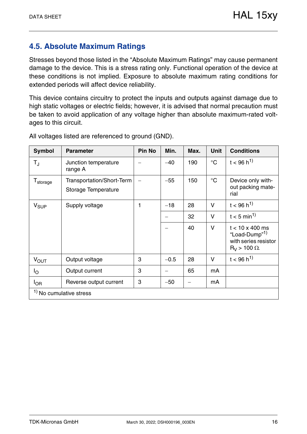# <span id="page-15-0"></span>**4.5. Absolute Maximum Ratings**

Stresses beyond those listed in the "Absolute Maximum Ratings" may cause permanent damage to the device. This is a stress rating only. Functional operation of the device at these conditions is not implied. Exposure to absolute maximum rating conditions for extended periods will affect device reliability.

This device contains circuitry to protect the inputs and outputs against damage due to high static voltages or electric fields; however, it is advised that normal precaution must be taken to avoid application of any voltage higher than absolute maximum-rated voltages to this circuit.

| <b>Symbol</b>        | <b>Parameter</b>                                 | <b>Pin No</b> | Min.   | Max. | Unit            | <b>Conditions</b>                                                                                     |
|----------------------|--------------------------------------------------|---------------|--------|------|-----------------|-------------------------------------------------------------------------------------------------------|
| T,                   | Junction temperature<br>range A                  |               | $-40$  | 190  | $^{\circ}C$     | $t < 96 h^{1}$                                                                                        |
| T <sub>storage</sub> | Transportation/Short-Term<br>Storage Temperature |               | $-55$  | 150  | $\rm ^{\circ}C$ | Device only with-<br>out packing mate-<br>rial                                                        |
| $V_{SUP}$            | Supply voltage                                   |               | $-18$  | 28   | $\vee$          | $t < 96 h^{1}$                                                                                        |
|                      |                                                  |               |        | 32   | V               | $t < 5$ min <sup>1)</sup>                                                                             |
|                      |                                                  |               |        | 40   | V               | $t < 10 \times 400$ ms<br>"Load-Dump" <sup>1)</sup><br>with series resistor<br>$R_V$ > 100 $\Omega$ . |
| $V_{OUT}$            | Output voltage                                   | 3             | $-0.5$ | 28   | V               | $t < 96 h^{1}$                                                                                        |
| Ιo                   | Output current                                   | 3             | —      | 65   | mA              |                                                                                                       |
| $I_{OR}$             | Reverse output current                           | 3             | $-50$  |      | mA              |                                                                                                       |
|                      | $1$ No cumulative stress                         |               |        |      |                 |                                                                                                       |

All voltages listed are referenced to ground (GND).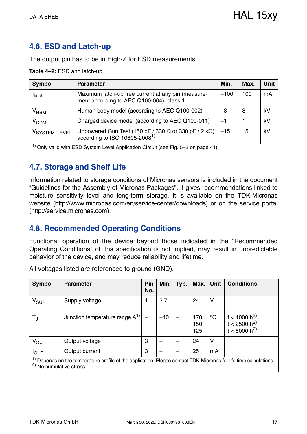# <span id="page-16-0"></span>**4.6. ESD and Latch-up**

The output pin has to be in High-Z for ESD measurements.

#### **Table 4–2:** ESD and latch-up

| <b>Symbol</b>    | <b>Parameter</b>                                                                                                  | Min.   | Max. | <b>Unit</b> |
|------------------|-------------------------------------------------------------------------------------------------------------------|--------|------|-------------|
| <b>I</b> latch   | Maximum latch-up free current at any pin (measure-<br>ment according to AEC Q100-004), class 1                    | $-100$ | 100  | mA          |
| $V_{HBM}$        | Human body model (according to AEC Q100-002)                                                                      | -8     | 8    | kV          |
| V <sub>CDM</sub> | Charged device model (according to AEC Q100-011)                                                                  | $-1$   |      | kV          |
| VSYSTEM_LEVEL    | Unpowered Gun Test (150 pF / 330 $\Omega$ or 330 pF / 2 k $\Omega$ )<br>according to ISO 10605-2008 <sup>1)</sup> | $-15$  | 15   | kV          |
|                  | <sup>1)</sup> Only valid with ESD System Level Application Circuit (see Fig. 5–2 on page 41)                      |        |      |             |

# <span id="page-16-1"></span>**4.7. Storage and Shelf Life**

Information related to storage conditions of Micronas sensors is included in the document "Guidelines for the Assembly of Micronas Packages". It gives recommendations linked to moisture sensitivity level and long-term storage. It is available on the TDK-Micronas website [\(http://www.micronas.com/en/service-center/download](http://www.micronas.com/en/service-center/downloads)s) or on the service portal ([http://service.micronas.com\)](http://service.micronas.com).

# <span id="page-16-3"></span><span id="page-16-2"></span>**4.8. Recommended Operating Conditions**

Functional operation of the device beyond those indicated in the "Recommended Operating Conditions" of this specification is not implied, may result in unpredictable behavior of the device, and may reduce reliability and lifetime.

| <b>Symbol</b>    | <b>Parameter</b>                                                                                                                                                   | Pin<br>No. | Min.  | Typ. | Max.              | <b>Unit</b> | <b>Conditions</b>                                                |  |  |  |
|------------------|--------------------------------------------------------------------------------------------------------------------------------------------------------------------|------------|-------|------|-------------------|-------------|------------------------------------------------------------------|--|--|--|
| $V_{SUP}$        | Supply voltage                                                                                                                                                     |            | 2.7   |      | 24                | ۷           |                                                                  |  |  |  |
| $T_{\rm J}$      | Junction temperature range $A^{1}$                                                                                                                                 |            | $-40$ |      | 170<br>150<br>125 | $^{\circ}C$ | t < 1000 h <sup>2)</sup><br>$t < 2500 h^{2}$<br>$t < 8000 h^{2}$ |  |  |  |
| $V_{\text{OUT}}$ | Output voltage                                                                                                                                                     | 3          |       |      | 24                | ۷           |                                                                  |  |  |  |
| $I_{\text{OUT}}$ | Output current                                                                                                                                                     | 3          |       |      | 25                | mA          |                                                                  |  |  |  |
|                  | <sup>1)</sup> Depends on the temperature profile of the application. Please contact TDK-Micronas for life time calculations.<br><sup>2)</sup> No cumulative stress |            |       |      |                   |             |                                                                  |  |  |  |

All voltages listed are referenced to ground (GND).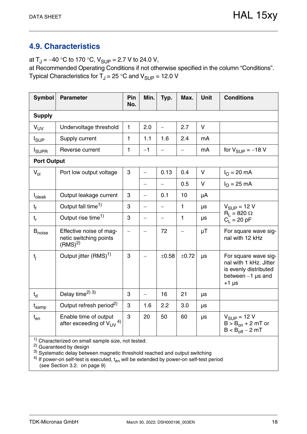# <span id="page-17-1"></span><span id="page-17-0"></span>**4.9. Characteristics**

at  $T_J = -40$  °C to 170 °C,  $V_{SUP} = 2.7$  V to 24.0 V,

at Recommended Operating Conditions if not otherwise specified in the column "Conditions". Typical Characteristics for  $T_{\rm J}$  = 25 °C and  $V_{\rm SLIP}$  = 12.0 V

| <b>Symbol</b>             | <b>Parameter</b>                                                        | Pin<br>No. | Min.                     | Typ.                     | Max.  | <b>Unit</b> | <b>Conditions</b>                                                                                         |
|---------------------------|-------------------------------------------------------------------------|------------|--------------------------|--------------------------|-------|-------------|-----------------------------------------------------------------------------------------------------------|
| <b>Supply</b>             |                                                                         |            |                          |                          |       |             |                                                                                                           |
| $V_{UV}$                  | Undervoltage threshold                                                  | 1          | 2.0                      | $\overline{\phantom{0}}$ | 2.7   | $\vee$      |                                                                                                           |
| $I_{\text{SUP}}$          | Supply current                                                          | 1          | 1.1                      | 1.6                      | 2.4   | mA          |                                                                                                           |
| <b>I</b> <sub>SUPR</sub>  | Reverse current                                                         | 1          | $-1$                     |                          |       | mA          | for $V_{\text{SUP}} = -18$ V                                                                              |
| <b>Port Output</b>        |                                                                         |            |                          |                          |       |             |                                                                                                           |
| $V_{ol}$                  | Port low output voltage                                                 |            |                          | 0.13                     | 0.4   | $\vee$      | $I_{\Omega} = 20 \text{ mA}$                                                                              |
|                           |                                                                         |            | $\overline{\phantom{0}}$ |                          | 0.5   | V           | $I_{O} = 25$ mA                                                                                           |
| <b>I</b> <sub>oleak</sub> | Output leakage current                                                  | 3          | $\overline{\phantom{0}}$ | 0.1                      | 10    | μA          |                                                                                                           |
| $t_{\rm f}$               | Output fall time <sup>1)</sup>                                          | 3          | $\overline{\phantom{0}}$ |                          | 1     | μs          | $V_{SUP} = 12 V$                                                                                          |
| $t_{r}$                   | Output rise time <sup>1)</sup>                                          | 3          | $\overline{\phantom{0}}$ | $\overline{\phantom{0}}$ | 1     | μs          | $R_1 = 820 \Omega$<br>$C_1 = 20 pF$                                                                       |
| <b>B</b> <sub>noise</sub> | Effective noise of mag-<br>netic switching points<br>(RMS) <sup>2</sup> |            |                          | 72                       |       | $\mu$ T     | For square wave sig-<br>nal with 12 kHz                                                                   |
| $t_{i}$                   | Output jitter (RMS) <sup>1)</sup>                                       | 3          |                          | ±0.58                    | ±0.72 | μs          | For square wave sig-<br>nal with 1 kHz. Jitter<br>is evenly distributed<br>between $-1$ µs and<br>$+1$ µs |
| $t_{d}$                   | Delay time <sup>2)</sup> 3)                                             | 3          |                          | 16                       | 21    | μs          |                                                                                                           |
| t <sub>samp</sub>         | Output refresh period <sup>2)</sup>                                     | 3          | 1.6                      | 2.2                      | 3.0   | μs          |                                                                                                           |
| $t_{en}$                  | Enable time of output<br>after exceeding of $V_{UV}$ <sup>4)</sup>      | 3          | 20                       | 50                       | 60    | μs          | $V_{SIIP} = 12 V$<br>$B > B_{on} + 2$ mT or<br>$B < B_{off} - 2 mT$                                       |

<sup>1)</sup> Characterized on small sample size, not tested.

<sup>2)</sup> Guaranteed by design

 $3)$  Systematic delay between magnetic threshold reached and output switching

 $^{4)}$  If power-on self-test is executed,  $t_{en}$  will be extended by power-on self-test period [\(see Section 3.2. on page 9\)](#page-8-3)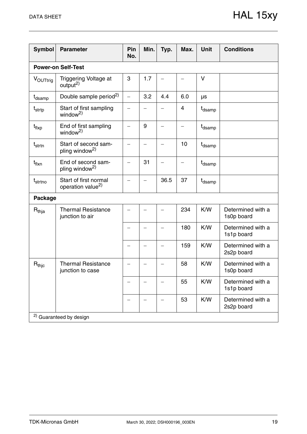| <b>Symbol</b>       | <b>Parameter</b>                                       | Pin<br>No.               | Min.                     | Typ. | Max. | <b>Unit</b>        | <b>Conditions</b>               |
|---------------------|--------------------------------------------------------|--------------------------|--------------------------|------|------|--------------------|---------------------------------|
|                     | <b>Power-on Self-Test</b>                              |                          |                          |      |      |                    |                                 |
| VOUTtrig            | Triggering Voltage at<br>output <sup>2)</sup>          | 3                        | 1.7                      |      |      | $\vee$             |                                 |
| t <sub>dsamp</sub>  | Double sample period <sup>2)</sup>                     | $\equiv$                 | 3.2                      | 4.4  | 6.0  | μs                 |                                 |
| t <sub>strtp</sub>  | Start of first sampling<br>window <sup>2)</sup>        |                          |                          |      | 4    | t <sub>dsamp</sub> |                                 |
| $t_{\sf flxp}$      | End of first sampling<br>window <sup>2</sup>           |                          | 9                        |      |      | t <sub>dsamp</sub> |                                 |
| $t_{strtn}$         | Start of second sam-<br>pling window <sup>2)</sup>     | $\overline{\phantom{0}}$ | $\overline{\phantom{0}}$ |      | 10   | t <sub>dsamp</sub> |                                 |
| $t_{\text{flux}}$   | End of second sam-<br>pling window <sup>2)</sup>       |                          | 31                       |      |      | t <sub>dsamp</sub> |                                 |
| t <sub>strtno</sub> | Start of first normal<br>operation value <sup>2)</sup> |                          |                          | 36.5 | 37   | t <sub>dsamp</sub> |                                 |
| Package             |                                                        |                          |                          |      |      |                    |                                 |
| $R_{thja}$          | <b>Thermal Resistance</b><br>junction to air           |                          |                          |      | 234  | K/W                | Determined with a<br>1s0p board |
|                     |                                                        |                          |                          |      | 180  | K/W                | Determined with a<br>1s1p board |
|                     |                                                        |                          |                          |      | 159  | K/W                | Determined with a<br>2s2p board |
| $R_{thic}$          | <b>Thermal Resistance</b><br>junction to case          |                          |                          |      | 58   | K/W                | Determined with a<br>1s0p board |
|                     |                                                        |                          |                          |      | 55   | K/W                | Determined with a<br>1s1p board |
|                     |                                                        |                          |                          |      | 53   | K/W                | Determined with a<br>2s2p board |
|                     | <sup>2)</sup> Guaranteed by design                     |                          |                          |      |      |                    |                                 |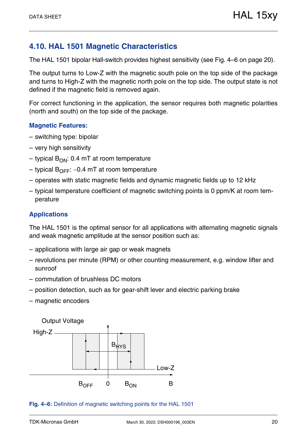# <span id="page-19-0"></span>**4.10. HAL 1501 Magnetic Characteristics**

The HAL 1501 bipolar Hall-switch provides highest sensitivity [\(see Fig. 4–6 on page 20\).](#page-19-1)

The output turns to Low-Z with the magnetic south pole on the top side of the package and turns to High-Z with the magnetic north pole on the top side. The output state is not defined if the magnetic field is removed again.

For correct functioning in the application, the sensor requires both magnetic polarities (north and south) on the top side of the package.

#### **Magnetic Features:**

- switching type: bipolar
- very high sensitivity
- typical  $B_{ON}$ : 0.4 mT at room temperature
- typical  $B_{\text{OFF}}$ : –0.4 mT at room temperature
- operates with static magnetic fields and dynamic magnetic fields up to 12 kHz
- typical temperature coefficient of magnetic switching points is 0 ppm/K at room temperature

### **Applications**

The HAL 1501 is the optimal sensor for all applications with alternating magnetic signals and weak magnetic amplitude at the sensor position such as:

- applications with large air gap or weak magnets
- revolutions per minute (RPM) or other counting measurement, e.g. window lifter and sunroof
- commutation of brushless DC motors
- position detection, such as for gear-shift lever and electric parking brake
- magnetic encoders



#### <span id="page-19-1"></span>**Fig. 4–6:** Definition of magnetic switching points for the HAL 1501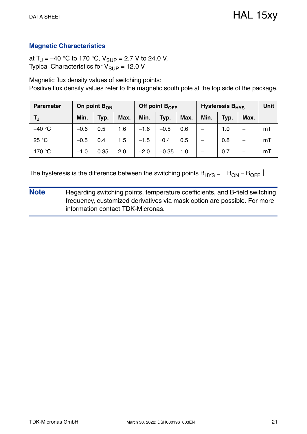at T<sub>J</sub> = -40 °C to 170 °C, V<sub>SUP</sub> = 2.7 V to 24.0 V, Typical Characteristics for  $V_{\text{SUP}} = 12.0 \text{ V}$ 

Magnetic flux density values of switching points: Positive flux density values refer to the magnetic south pole at the top side of the package.

| <b>Parameter</b> | On point $B_{ON}$ |      |      | Off point $B_{\text{OFF}}$ |         |      | Hysteresis B <sub>HYS</sub> | Unit |      |    |
|------------------|-------------------|------|------|----------------------------|---------|------|-----------------------------|------|------|----|
| TJ.              | Min.              | Typ. | Max. | Min.                       | Typ.    | Max. | Min.                        | Typ. | Max. |    |
| $-40 °C$         | $-0.6$            | 0.5  | 1.6  | $-1.6$                     | $-0.5$  | 0.6  |                             | 1.0  |      | mT |
| 25 °C            | $-0.5$            | 0.4  | 1.5  | $-1.5$                     | $-0.4$  | 0.5  |                             | 0.8  |      | mT |
| 170 °C           | $-1.0$            | 0.35 | 2.0  | $-2.0$                     | $-0.35$ | 1.0  |                             | 0.7  |      | mT |

The hysteresis is the difference between the switching points  $B_{HYS} = |B_{ON} - B_{OFF}|$ 

**Note** Regarding switching points, temperature coefficients, and B-field switching frequency, customized derivatives via mask option are possible. For more information contact TDK-Micronas.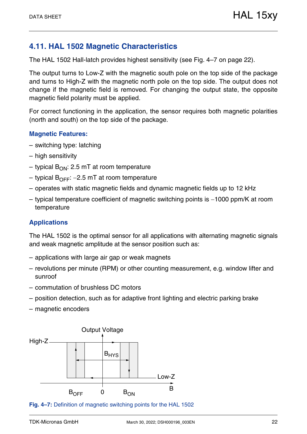# <span id="page-21-0"></span>**4.11. HAL 1502 Magnetic Characteristics**

The HAL 1502 Hall-latch provides highest sensitivity [\(see Fig. 4–7 on page 22\)](#page-21-1).

The output turns to Low-Z with the magnetic south pole on the top side of the package and turns to High-Z with the magnetic north pole on the top side. The output does not change if the magnetic field is removed. For changing the output state, the opposite magnetic field polarity must be applied.

For correct functioning in the application, the sensor requires both magnetic polarities (north and south) on the top side of the package.

#### **Magnetic Features:**

- switching type: latching
- high sensitivity
- typical  $B_{ON}$ : 2.5 mT at room temperature
- typical  $B_{\text{OFF}}$ : –2.5 mT at room temperature
- operates with static magnetic fields and dynamic magnetic fields up to 12 kHz
- $-$  typical temperature coefficient of magnetic switching points is  $-1000$  ppm/K at room temperature

### **Applications**

The HAL 1502 is the optimal sensor for all applications with alternating magnetic signals and weak magnetic amplitude at the sensor position such as:

- applications with large air gap or weak magnets
- revolutions per minute (RPM) or other counting measurement, e.g. window lifter and sunroof
- commutation of brushless DC motors
- position detection, such as for adaptive front lighting and electric parking brake
- magnetic encoders



<span id="page-21-1"></span>**Fig. 4–7:** Definition of magnetic switching points for the HAL 1502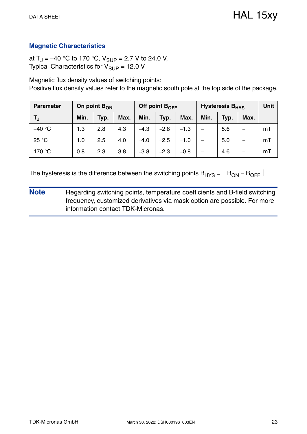at T<sub>J</sub> = -40 °C to 170 °C, V<sub>SUP</sub> = 2.7 V to 24.0 V, Typical Characteristics for  $V_{\text{SUP}} = 12.0 \text{ V}$ 

Magnetic flux density values of switching points: Positive flux density values refer to the magnetic south pole at the top side of the package.

| <b>Parameter</b> | On point $B_{ON}$ |      |      |        | Off point $B_{\text{OFF}}$ |        | <b>Hysteresis B<sub>HYS</sub></b> | Unit |      |    |
|------------------|-------------------|------|------|--------|----------------------------|--------|-----------------------------------|------|------|----|
| TJ.              | Min.              | Typ. | Max. | Min.   | Typ.                       | Max.   | Min.                              | Typ. | Max. |    |
| $-40$ °C         | 1.3               | 2.8  | 4.3  | $-4.3$ | $-2.8$                     | $-1.3$ |                                   | 5.6  | –    | mT |
| 25 °C            | 1.0               | 2.5  | 4.0  | $-4.0$ | $-2.5$                     | $-1.0$ | $\overline{\phantom{0}}$          | 5.0  | —    | mT |
| 170 °C           | 0.8               | 2.3  | 3.8  | $-3.8$ | $-2.3$                     | $-0.8$ | —                                 | 4.6  | –    | mT |

The hysteresis is the difference between the switching points  $B_{HYS} = |B_{ON} - B_{OFF}|$ 

**Note** Regarding switching points, temperature coefficients and B-field switching frequency, customized derivatives via mask option are possible. For more information contact TDK-Micronas.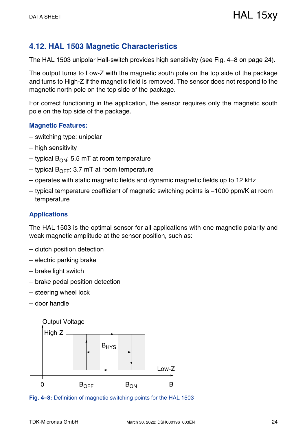# <span id="page-23-0"></span>**4.12. HAL 1503 Magnetic Characteristics**

The HAL 1503 unipolar Hall-switch provides high sensitivity [\(see Fig. 4–8 on page 24\)](#page-23-1).

The output turns to Low-Z with the magnetic south pole on the top side of the package and turns to High-Z if the magnetic field is removed. The sensor does not respond to the magnetic north pole on the top side of the package.

For correct functioning in the application, the sensor requires only the magnetic south pole on the top side of the package.

#### **Magnetic Features:**

- switching type: unipolar
- high sensitivity
- typical  $B_{ON}$ : 5.5 mT at room temperature
- typical  $B_{\text{OFF}}$ : 3.7 mT at room temperature
- operates with static magnetic fields and dynamic magnetic fields up to 12 kHz
- $-$  typical temperature coefficient of magnetic switching points is  $-1000$  ppm/K at room temperature

### **Applications**

The HAL 1503 is the optimal sensor for all applications with one magnetic polarity and weak magnetic amplitude at the sensor position, such as:

- clutch position detection
- electric parking brake
- brake light switch
- brake pedal position detection
- steering wheel lock
- door handle



<span id="page-23-1"></span>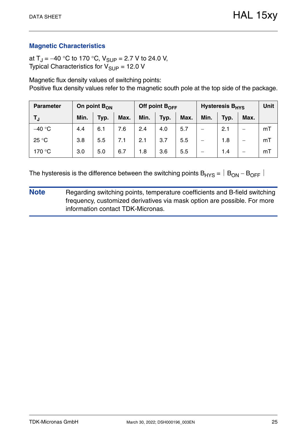at T<sub>J</sub> = -40 °C to 170 °C, V<sub>SUP</sub> = 2.7 V to 24.0 V, Typical Characteristics for  $V_{\text{SUP}} = 12.0 \text{ V}$ 

Magnetic flux density values of switching points: Positive flux density values refer to the magnetic south pole at the top side of the package.

| <b>Parameter</b> | On point $B_{ON}$ |      |      |      | Off point $B_{OFF}$ |      | <b>Hysteresis B<sub>HYS</sub></b> | <b>Unit</b> |      |    |
|------------------|-------------------|------|------|------|---------------------|------|-----------------------------------|-------------|------|----|
| TJ               | Min.              | Typ. | Max. | Min. | Typ.                | Max. | Min.                              | Typ.        | Max. |    |
| $-40$ °C         | 4.4               | 6.1  | 7.6  | 2.4  | 4.0                 | 5.7  | —                                 | 2.1         |      | mT |
| 25 °C            | 3.8               | 5.5  | 7.1  | 2.1  | 3.7                 | 5.5  | —                                 | 1.8         | —    | mT |
| 170 °C           | 3.0               | 5.0  | 6.7  | 1.8  | 3.6                 | 5.5  |                                   | 1.4         | –    | mT |

The hysteresis is the difference between the switching points  $B_{HYS} = |B_{ON} - B_{OFF}|$ 

**Note** Regarding switching points, temperature coefficients and B-field switching frequency, customized derivatives via mask option are possible. For more information contact TDK-Micronas.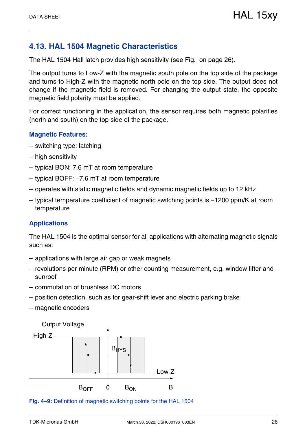# <span id="page-25-0"></span>**4.13. HAL 1504 Magnetic Characteristics**

The HAL 1504 Hall latch provides high sensitivity [\(see Fig. on page 26\)](#page-25-1).

The output turns to Low-Z with the magnetic south pole on the top side of the package and turns to High-Z with the magnetic north pole on the top side. The output does not change if the magnetic field is removed. For changing the output state, the opposite magnetic field polarity must be applied.

For correct functioning in the application, the sensor requires both magnetic polarities (north and south) on the top side of the package.

#### **Magnetic Features:**

- switching type: latching
- high sensitivity
- typical BON: 7.6 mT at room temperature
- $-$  typical BOFF:  $-7.6$  mT at room temperature
- operates with static magnetic fields and dynamic magnetic fields up to 12 kHz
- $-$  typical temperature coefficient of magnetic switching points is  $-1200$  ppm/K at room temperature

### **Applications**

The HAL 1504 is the optimal sensor for all applications with alternating magnetic signals such as:

- applications with large air gap or weak magnets
- revolutions per minute (RPM) or other counting measurement, e.g. window lifter and sunroof
- commutation of brushless DC motors
- position detection, such as for gear-shift lever and electric parking brake
- magnetic encoders

<span id="page-25-1"></span>

**Fig. 4–9:** Definition of magnetic switching points for the HAL 1504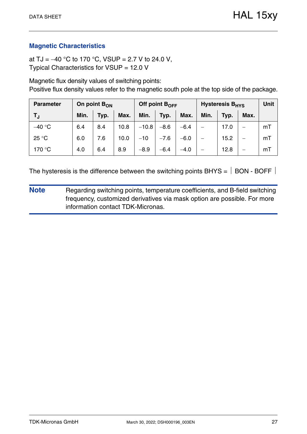at TJ =  $-40$  °C to 170 °C, VSUP = 2.7 V to 24.0 V, Typical Characteristics for VSUP = 12.0 V

Magnetic flux density values of switching points: Positive flux density values refer to the magnetic south pole at the top side of the package.

| <b>Parameter</b> | On point $B_{ON}$ |      |      |         | Off point $B_{OFF}$ |        | Hysteresis B <sub>HYS</sub> | <b>Unit</b> |      |    |
|------------------|-------------------|------|------|---------|---------------------|--------|-----------------------------|-------------|------|----|
| T』               | Min.              | Typ. | Max. | Min.    | Typ.                | Max.   | Min.                        | Typ.        | Max. |    |
| $-40 °C$         | 6.4               | 8.4  | 10.8 | $-10.8$ | $-8.6$              | $-6.4$ |                             | 17.0        |      | mT |
| 25 °C            | 6.0               | 7.6  | 10.0 | $-10$   | $-7.6$              | $-6.0$ |                             | 15.2        |      | mT |
| 170 °C           | 4.0               | 6.4  | 8.9  | $-8.9$  | $-6.4$              | $-4.0$ |                             | 12.8        |      | mT |

The hysteresis is the difference between the switching points BHYS =  $\vert$  BON - BOFF  $\vert$ 

**Note** Regarding switching points, temperature coefficients, and B-field switching frequency, customized derivatives via mask option are possible. For more information contact TDK-Micronas.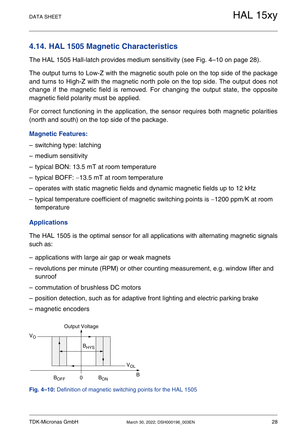# <span id="page-27-0"></span>**4.14. HAL 1505 Magnetic Characteristics**

The HAL 1505 Hall-latch provides medium sensitivity [\(see Fig. 4–10 on page 28\).](#page-27-1)

The output turns to Low-Z with the magnetic south pole on the top side of the package and turns to High-Z with the magnetic north pole on the top side. The output does not change if the magnetic field is removed. For changing the output state, the opposite magnetic field polarity must be applied.

For correct functioning in the application, the sensor requires both magnetic polarities (north and south) on the top side of the package.

#### **Magnetic Features:**

- switching type: latching
- medium sensitivity
- typical BON: 13.5 mT at room temperature
- $-$  typical BOFF:  $-13.5$  mT at room temperature
- operates with static magnetic fields and dynamic magnetic fields up to 12 kHz
- $-$  typical temperature coefficient of magnetic switching points is  $-1200$  ppm/K at room temperature

### **Applications**

The HAL 1505 is the optimal sensor for all applications with alternating magnetic signals such as:

- applications with large air gap or weak magnets
- revolutions per minute (RPM) or other counting measurement, e.g. window lifter and sunroof
- commutation of brushless DC motors
- position detection, such as for adaptive front lighting and electric parking brake
- magnetic encoders



<span id="page-27-1"></span>**Fig. 4–10:** Definition of magnetic switching points for the HAL 1505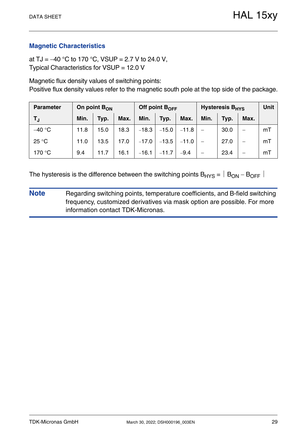at TJ =  $-40$  °C to 170 °C, VSUP = 2.7 V to 24.0 V, Typical Characteristics for VSUP = 12.0 V

Magnetic flux density values of switching points: Positive flux density values refer to the magnetic south pole at the top side of the package.

| <b>Parameter</b> | On point $B_{ON}$ |      |      | Off point B <sub>OFF</sub> |         |         | Hysteresis B <sub>HYS</sub> | <b>Unit</b> |      |    |
|------------------|-------------------|------|------|----------------------------|---------|---------|-----------------------------|-------------|------|----|
| TJ               | Min.              | Typ. | Max. | Min.                       | Typ.    | Max.    | Min.                        | Typ.        | Max. |    |
| $-40 °C$         | 11.8              | 15.0 | 18.3 | $-18.3$                    | $-15.0$ | $-11.8$ |                             | 30.0        |      | mT |
| 25 °C            | 11.0              | 13.5 | 17.0 | $-17.0$                    | $-13.5$ | $-11.0$ |                             | 27.0        | —    | mT |
| 170 °C           | 9.4               | 11.7 | 16.1 | $-16.1$                    | $-11.7$ | $-9.4$  |                             | 23.4        |      | mT |

The hysteresis is the difference between the switching points  $B_{HYS} = |B_{ON} - B_{OFF}|$ 

**Note** Regarding switching points, temperature coefficients, and B-field switching frequency, customized derivatives via mask option are possible. For more information contact TDK-Micronas.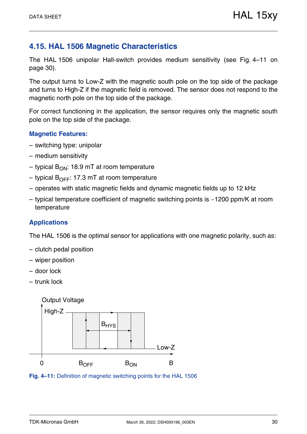# <span id="page-29-0"></span>**4.15. HAL 1506 Magnetic Characteristics**

The HAL 1506 unipolar Hall-switch provides medium sensitivity [\(see Fig. 4–11 on](#page-29-1) [page 30\)](#page-29-1).

The output turns to Low-Z with the magnetic south pole on the top side of the package and turns to High-Z if the magnetic field is removed. The sensor does not respond to the magnetic north pole on the top side of the package.

For correct functioning in the application, the sensor requires only the magnetic south pole on the top side of the package.

#### **Magnetic Features:**

- switching type: unipolar
- medium sensitivity
- typical  $B_{ON}$ : 18.9 mT at room temperature
- typical  $B_{\text{OFF}}$ : 17.3 mT at room temperature
- operates with static magnetic fields and dynamic magnetic fields up to 12 kHz
- $-$  typical temperature coefficient of magnetic switching points is  $-1200$  ppm/K at room temperature

### **Applications**

The HAL 1506 is the optimal sensor for applications with one magnetic polarity, such as:

- clutch pedal position
- wiper position
- door lock
- trunk lock



<span id="page-29-1"></span>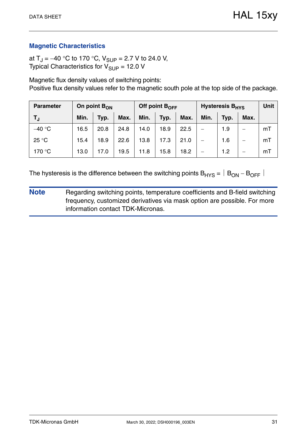at T<sub>J</sub> = -40 °C to 170 °C, V<sub>SUP</sub> = 2.7 V to 24.0 V, Typical Characteristics for  $V_{\text{SUP}} = 12.0 \text{ V}$ 

Magnetic flux density values of switching points: Positive flux density values refer to the magnetic south pole at the top side of the package.

| <b>Parameter</b> | On point $B_{ON}$ |      |      |      | Off point $B_{\text{OFF}}$ |      | <b>Hysteresis B<sub>HYS</sub></b> | <b>Unit</b> |      |    |
|------------------|-------------------|------|------|------|----------------------------|------|-----------------------------------|-------------|------|----|
| TJ.              | Min.              | Typ. | Max. | Min. | Typ.                       | Max. | Min.                              | Typ.        | Max. |    |
| $-40 °C$         | 16.5              | 20.8 | 24.8 | 14.0 | 18.9                       | 22.5 |                                   | 1.9         | —    | mT |
| 25 °C            | 15.4              | 18.9 | 22.6 | 13.8 | 17.3                       | 21.0 | $\overline{\phantom{0}}$          | 1.6         | —    | mT |
| 170 °C           | 13.0              | 17.0 | 19.5 | 11.8 | 15.8                       | 18.2 |                                   | 1.2         | –    | mT |

The hysteresis is the difference between the switching points  $B_{HYS} = |B_{ON} - B_{OFF}|$ 

**Note** Regarding switching points, temperature coefficients and B-field switching frequency, customized derivatives via mask option are possible. For more information contact TDK-Micronas.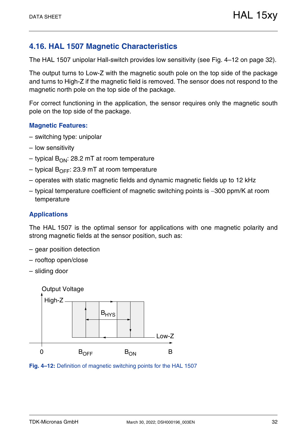# <span id="page-31-0"></span>**4.16. HAL 1507 Magnetic Characteristics**

The HAL 1507 unipolar Hall-switch provides low sensitivity [\(see Fig. 4–12 on page 32\)](#page-31-1).

The output turns to Low-Z with the magnetic south pole on the top side of the package and turns to High-Z if the magnetic field is removed. The sensor does not respond to the magnetic north pole on the top side of the package.

For correct functioning in the application, the sensor requires only the magnetic south pole on the top side of the package.

#### **Magnetic Features:**

- switching type: unipolar
- low sensitivity
- typical  $B_{ON}$ : 28.2 mT at room temperature
- typical  $B_{\text{OFF}}$ : 23.9 mT at room temperature
- operates with static magnetic fields and dynamic magnetic fields up to 12 kHz
- $-$  typical temperature coefficient of magnetic switching points is  $-300$  ppm/K at room temperature

#### **Applications**

The HAL 1507 is the optimal sensor for applications with one magnetic polarity and strong magnetic fields at the sensor position, such as:

- gear position detection
- rooftop open/close
- sliding door



<span id="page-31-1"></span>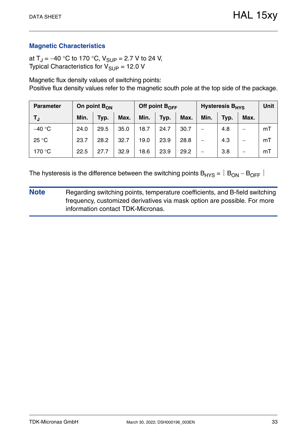at T<sub>J</sub> = -40 °C to 170 °C,  $V_{\text{SUP}}$  = 2.7 V to 24 V, Typical Characteristics for  $V_{\text{SUP}} = 12.0 \text{ V}$ 

Magnetic flux density values of switching points: Positive flux density values refer to the magnetic south pole at the top side of the package.

| <b>Parameter</b> | On point $B_{ON}$ |      |      |      | Off point $B_{\text{OFF}}$ |      | <b>Hysteresis B<sub>HYS</sub></b> | <b>Unit</b> |      |    |
|------------------|-------------------|------|------|------|----------------------------|------|-----------------------------------|-------------|------|----|
| T,               | Min.              | Typ. | Max. | Min. | Typ.                       | Max. | Min.                              | Typ.        | Max. |    |
| $-40 °C$         | 24.0              | 29.5 | 35.0 | 18.7 | 24.7                       | 30.7 |                                   | 4.8         | –    | mT |
| 25 °C            | 23.7              | 28.2 | 32.7 | 19.0 | 23.9                       | 28.8 |                                   | 4.3         | —    | mT |
| 170 °C           | 22.5              | 27.7 | 32.9 | 18.6 | 23.9                       | 29.2 |                                   | 3.8         | –    | mT |

The hysteresis is the difference between the switching points  $B_{HYS} = |B_{ON} - B_{OFF}|$ 

**Note** Regarding switching points, temperature coefficients, and B-field switching frequency, customized derivatives via mask option are possible. For more information contact TDK-Micronas.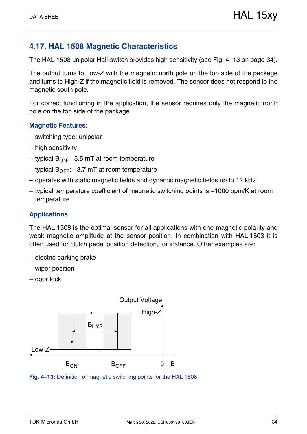# <span id="page-33-0"></span>**4.17. HAL 1508 Magnetic Characteristics**

The HAL 1508 unipolar Hall-switch provides high sensitivity [\(see Fig. 4–13 on page 34\)](#page-33-1).

The output turns to Low-Z with the magnetic north pole on the top side of the package and turns to High-Z if the magnetic field is removed. The sensor does not respond to the magnetic south pole.

For correct functioning in the application, the sensor requires only the magnetic north pole on the top side of the package.

#### **Magnetic Features:**

- switching type: unipolar
- high sensitivity
- typical  $B_{ON}$ : -5.5 mT at room temperature
- typical  $B_{\text{OFF}}$ : –3.7 mT at room temperature
- operates with static magnetic fields and dynamic magnetic fields up to 12 kHz
- $-$  typical temperature coefficient of magnetic switching points is  $-1000$  ppm/K at room temperature

### **Applications**

The HAL 1508 is the optimal sensor for all applications with one magnetic polarity and weak magnetic amplitude at the sensor position. In combination with HAL 1503 it is often used for clutch pedal position detection, for instance. Other examples are:

- electric parking brake
- wiper position
- door lock



<span id="page-33-1"></span>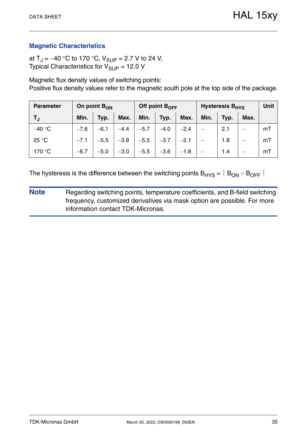at  $T_{\rm J} = -40$  °C to 170 °C,  $V_{\rm SLIP} = 2.7$  V to 24 V, Typical Characteristics for  $V_{\text{SUP}} = 12.0 \text{ V}$ 

Magnetic flux density values of switching points: Positive flux density values refer to the magnetic south pole at the top side of the package.

| <b>Parameter</b> | On point $B_{ON}$ |        |        |        | Off point $B_{\text{OFF}}$ |        | Hysteresis B <sub>HYS</sub> | <b>Unit</b> |      |    |
|------------------|-------------------|--------|--------|--------|----------------------------|--------|-----------------------------|-------------|------|----|
| TJ               | Min.              | Typ.   | Max.   | Min.   | Typ.                       | Max.   | Min.                        | Typ.        | Max. |    |
| $-40 °C$         | $-7.6$            | $-6.1$ | $-4.4$ | $-5.7$ | $-4.0$                     | $-2.4$ |                             | 2.1         |      | mT |
| 25 °C            | $-7.1$            | $-5.5$ | $-3.8$ | $-5.5$ | $-3.7$                     | $-2.1$ |                             | 1.8         | —    | mT |
| 170 °C           | $-6.7$            | $-5.0$ | $-3.0$ | $-5.5$ | $-3.6$                     | $-1.8$ |                             | 1.4         | –    | mT |

The hysteresis is the difference between the switching points  $B_{HYS} = |B_{ON} - B_{OFF}|$ 

**Note** Regarding switching points, temperature coefficients, and B-field switching frequency, customized derivatives via mask option are possible. For more information contact TDK-Micronas.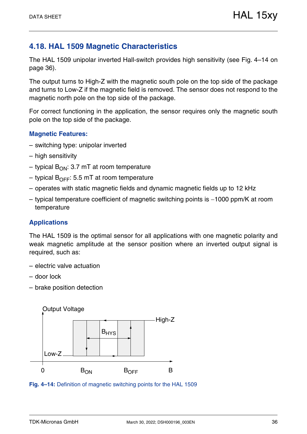# <span id="page-35-0"></span>**4.18. HAL 1509 Magnetic Characteristics**

The HAL 1509 unipolar inverted Hall-switch provides high sensitivity [\(see Fig. 4–14 on](#page-35-1) [page 36\)](#page-35-1).

The output turns to High-Z with the magnetic south pole on the top side of the package and turns to Low-Z if the magnetic field is removed. The sensor does not respond to the magnetic north pole on the top side of the package.

For correct functioning in the application, the sensor requires only the magnetic south pole on the top side of the package.

#### **Magnetic Features:**

- switching type: unipolar inverted
- high sensitivity
- typical  $B_{ON}$ : 3.7 mT at room temperature
- typical  $B_{\text{OFF}}$ : 5.5 mT at room temperature
- operates with static magnetic fields and dynamic magnetic fields up to 12 kHz
- $-$  typical temperature coefficient of magnetic switching points is  $-1000$  ppm/K at room temperature

#### **Applications**

The HAL 1509 is the optimal sensor for all applications with one magnetic polarity and weak magnetic amplitude at the sensor position where an inverted output signal is required, such as:

- electric valve actuation
- door lock
- brake position detection



<span id="page-35-1"></span>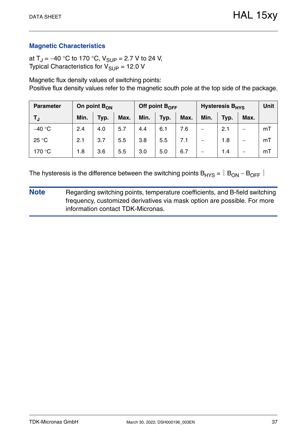at  $T_{\rm J} = -40$  °C to 170 °C,  $V_{\rm SLIP} = 2.7$  V to 24 V, Typical Characteristics for  $V_{\text{SUP}} = 12.0 \text{ V}$ 

Magnetic flux density values of switching points: Positive flux density values refer to the magnetic south pole at the top side of the package.

| <b>Parameter</b> | On point $B_{ON}$ |      |      |      | Off point $B_{OFF}$ |      | <b>Hysteresis B<sub>HYS</sub></b> | <b>Unit</b> |      |    |
|------------------|-------------------|------|------|------|---------------------|------|-----------------------------------|-------------|------|----|
| TJ               | Min.              | Typ. | Max. | Min. | Typ.                | Max. | Min.                              | Typ.        | Max. |    |
| $-40 °C$         | 2.4               | 4.0  | 5.7  | 4.4  | 6.1                 | 7.6  | –                                 | 2.1         | –    | mT |
| 25 °C            | 2.1               | 3.7  | 5.5  | 3.8  | 5.5                 | 7.1  | —                                 | 1.8         | —    | mT |
| 170 °C           | 1.8               | 3.6  | 5.5  | 3.0  | 5.0                 | 6.7  |                                   | 1.4         | –    | mT |

The hysteresis is the difference between the switching points  $B_{HYS} = |B_{ON} - B_{OFF}|$ 

**Note** Regarding switching points, temperature coefficients, and B-field switching frequency, customized derivatives via mask option are possible. For more information contact TDK-Micronas.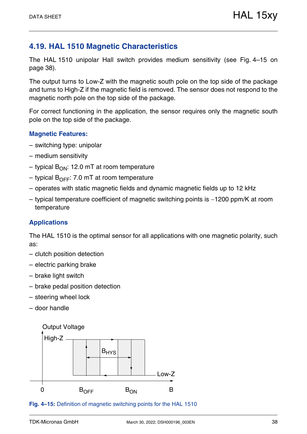# <span id="page-37-0"></span>**4.19. HAL 1510 Magnetic Characteristics**

The HAL 1510 unipolar Hall switch provides medium sensitivity [\(see Fig. 4–15 on](#page-37-1) [page 38\)](#page-37-1).

The output turns to Low-Z with the magnetic south pole on the top side of the package and turns to High-Z if the magnetic field is removed. The sensor does not respond to the magnetic north pole on the top side of the package.

For correct functioning in the application, the sensor requires only the magnetic south pole on the top side of the package.

### **Magnetic Features:**

- switching type: unipolar
- medium sensitivity
- typical  $B_{ON}$ : 12.0 mT at room temperature
- typical  $B_{\text{OFF}}$ : 7.0 mT at room temperature
- operates with static magnetic fields and dynamic magnetic fields up to 12 kHz
- $-$  typical temperature coefficient of magnetic switching points is  $-1200$  ppm/K at room temperature

### **Applications**

The HAL 1510 is the optimal sensor for all applications with one magnetic polarity, such as:

- clutch position detection
- electric parking brake
- brake light switch
- brake pedal position detection
- steering wheel lock
- door handle



#### <span id="page-37-1"></span>**Fig. 4–15:** Definition of magnetic switching points for the HAL 1510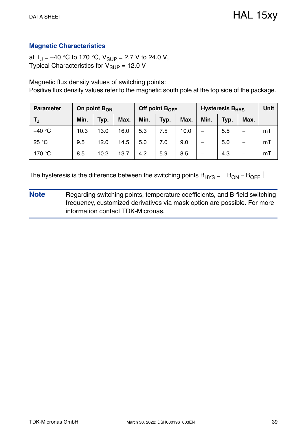at  $T_J = -40$  °C to 170 °C,  $V_{SUP} = 2.7$  V to 24.0 V, Typical Characteristics for  $V_{SIIP}$  = 12.0 V

Magnetic flux density values of switching points:

Positive flux density values refer to the magnetic south pole at the top side of the package.

| <b>Parameter</b> | On point $B_{ON}$ |      |      |      | Off point $B_{OFF}$ |      | <b>Hysteresis B<sub>HYS</sub></b> | <b>Unit</b> |      |    |
|------------------|-------------------|------|------|------|---------------------|------|-----------------------------------|-------------|------|----|
| T,               | Min.              | Typ. | Max. | Min. | Typ.                | Max. | Min.                              | Typ.        | Max. |    |
| $-40 °C$         | 10.3              | 13.0 | 16.0 | 5.3  | 7.5                 | 10.0 | $\overline{\phantom{0}}$          | 5.5         | —    | mT |
| 25 °C            | 9.5               | 12.0 | 14.5 | 5.0  | 7.0                 | 9.0  |                                   | 5.0         | –    | mT |
| 170 °C           | 8.5               | 10.2 | 13.7 | 4.2  | 5.9                 | 8.5  |                                   | 4.3         |      | mT |

The hysteresis is the difference between the switching points  $B_{HYS} = |B_{ON} - B_{OFF}|$ 

**Note** Regarding switching points, temperature coefficients, and B-field switching frequency, customized derivatives via mask option are possible. For more information contact TDK-Micronas.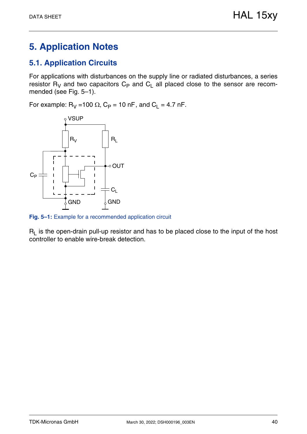# <span id="page-39-0"></span>**5. Application Notes**

# <span id="page-39-1"></span>**5.1. Application Circuits**

For applications with disturbances on the supply line or radiated disturbances, a series resistor R<sub>V</sub> and two capacitors  $C_P$  and  $C_L$  all placed close to the sensor are recommended [\(see Fig. 5–1\)](#page-39-2).

For example:  $R_V = 100 \Omega$ ,  $C_P = 10 \text{ nF}$ , and  $C_L = 4.7 \text{ nF}$ .



<span id="page-39-2"></span>**Fig. 5–1:** Example for a recommended application circuit

 $R_L$  is the open-drain pull-up resistor and has to be placed close to the input of the host controller to enable wire-break detection.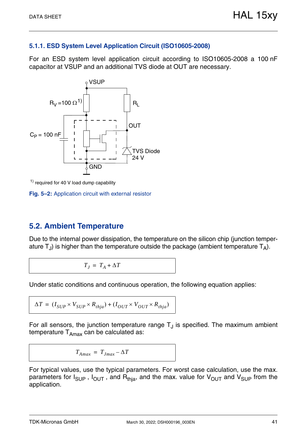### <span id="page-40-0"></span>**5.1.1. ESD System Level Application Circuit (ISO10605-2008)**

For an ESD system level application circuit according to ISO10605-2008 a 100 nF capacitor at VSUP and an additional TVS diode at OUT are necessary.



<span id="page-40-3"></span>1) required for 40 V load dump capability

**Fig. 5–2:** Application circuit with external resistor

# <span id="page-40-2"></span><span id="page-40-1"></span>**5.2. Ambient Temperature**

Due to the internal power dissipation, the temperature on the silicon chip (junction temperature  $T_{J}$ ) is higher than the temperature outside the package (ambient temperature  $T_{A}$ ).

$$
T_J = T_A + \Delta T
$$

Under static conditions and continuous operation, the following equation applies:

$$
\Delta T = (I_{SUP} \times V_{SUP} \times R_{thja}) + (I_{OUT} \times V_{OUT} \times R_{thja})
$$

For all sensors, the junction temperature range  $T<sub>J</sub>$  is specified. The maximum ambient temperature  $T_{Amax}$  can be calculated as:

$$
T_{Amax} = T_{Jmax} - \Delta T
$$

For typical values, use the typical parameters. For worst case calculation, use the max. parameters for  $I_{\text{SUP}}$ ,  $I_{\text{OUT}}$ , and  $R_{\text{thia}}$ , and the max. value for  $V_{\text{OUT}}$  and  $V_{\text{SUP}}$  from the application.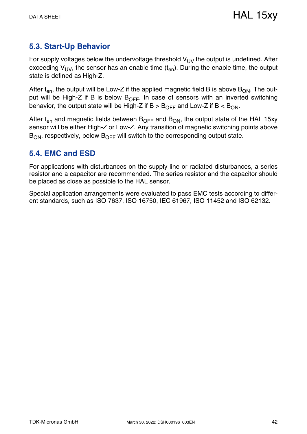# <span id="page-41-0"></span>**5.3. Start-Up Behavior**

For supply voltages below the undervoltage threshold  $V_{UV}$  the output is undefined. After exceeding  $V_{UV}$ , the sensor has an enable time  $(t_{en})$ . During the enable time, the output state is defined as High-Z.

After  $t_{en}$ , the output will be Low-Z if the applied magnetic field B is above  $B_{ON}$ . The output will be High-Z if B is below  $B_{OFF}$ . In case of sensors with an inverted switching behavior, the output state will be High-Z if  $B > B_{\text{OEF}}$  and Low-Z if  $B < B_{\text{ON}}$ .

After  $t_{en}$  and magnetic fields between  $B_{OFF}$  and  $B_{ON}$ , the output state of the HAL 15xy sensor will be either High-Z or Low-Z. Any transition of magnetic switching points above  $B_{ON}$ , respectively, below  $B_{OFF}$  will switch to the corresponding output state.

# <span id="page-41-1"></span>**5.4. EMC and ESD**

For applications with disturbances on the supply line or radiated disturbances, a series resistor and a capacitor are recommended. The series resistor and the capacitor should be placed as close as possible to the HAL sensor.

Special application arrangements were evaluated to pass EMC tests according to different standards, such as ISO 7637, ISO 16750, IEC 61967, ISO 11452 and ISO 62132.